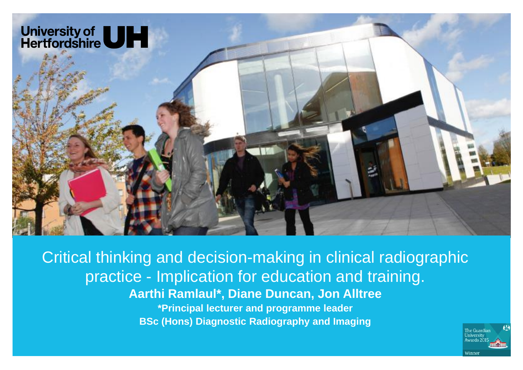

Critical thinking and decision-making in clinical radiographic practice - Implication for education and training. **Aarthi Ramlaul\*, Diane Duncan, Jon Alltree \*Principal lecturer and programme leader BSc (Hons) Diagnostic Radiography and Imaging**

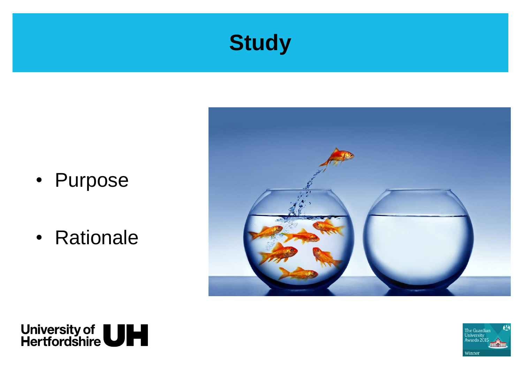

- Purpose
- Rationale





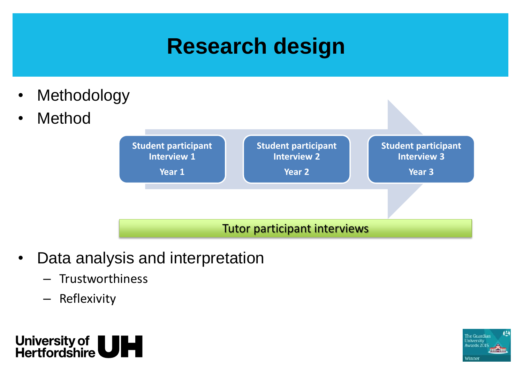# **Research design**

- **Methodology**
- **Method**



#### Tutor participant interviews

- Data analysis and interpretation
	- **Trustworthiness**
	- Reflexivity



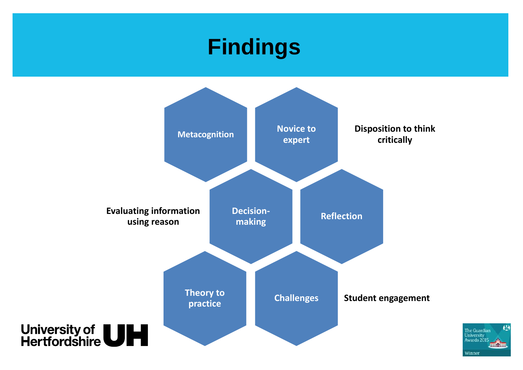## **Findings**



 $\leftrightarrow$ The Guardian University<br>Awards 2015 **milain** Winner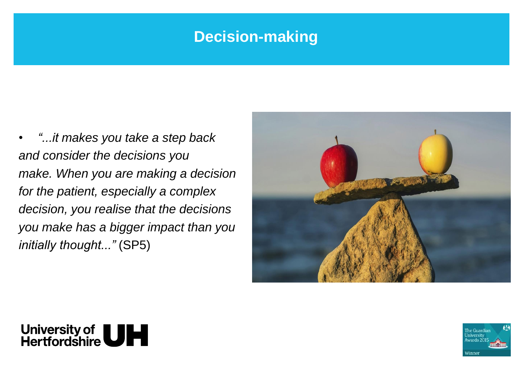### **Decision-making**

• *"...it makes you take a step back and consider the decisions you make. When you are making a decision for the patient, especially a complex decision, you realise that the decisions you make has a bigger impact than you initially thought..."* (SP5)





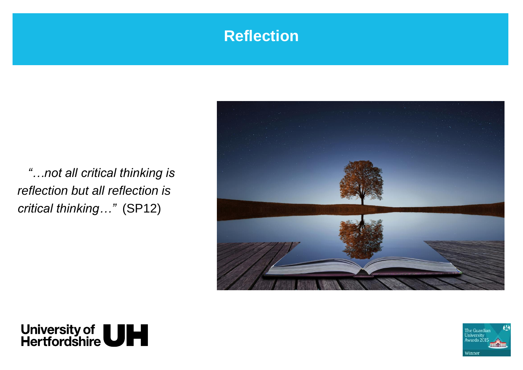### **Reflection**

*"…not all critical thinking is reflection but all reflection is critical thinking…"* (SP12)





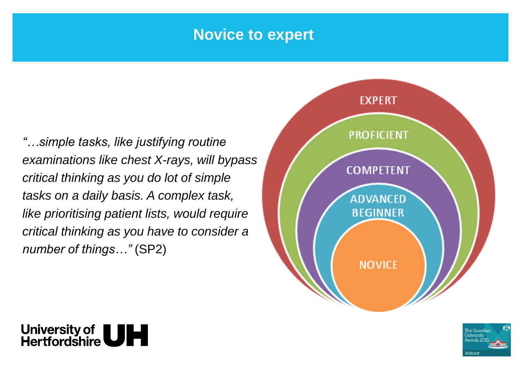#### **Novice to expert**

*"…simple tasks, like justifying routine examinations like chest X-rays, will bypass critical thinking as you do lot of simple tasks on a daily basis. A complex task, like prioritising patient lists, would require critical thinking as you have to consider a number of things…"* (SP2)





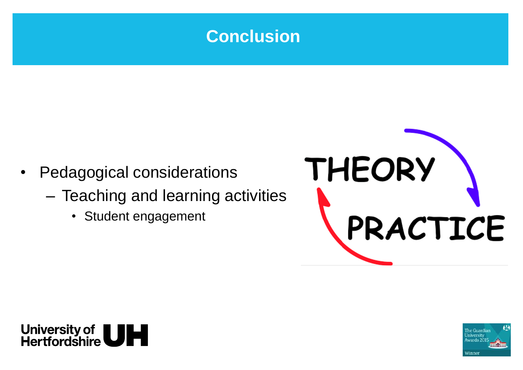

- Pedagogical considerations
	- Teaching and learning activities
		- Student engagement





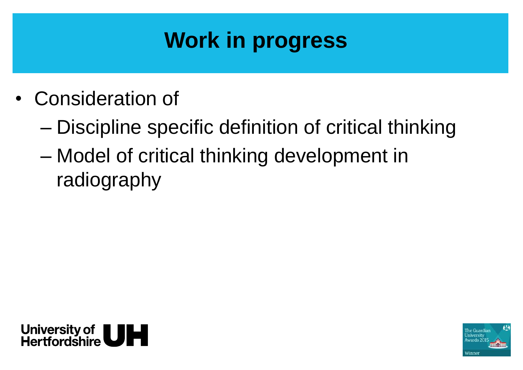# **Work in progress**

- Consideration of
	- Discipline specific definition of critical thinking
	- Model of critical thinking development in radiography